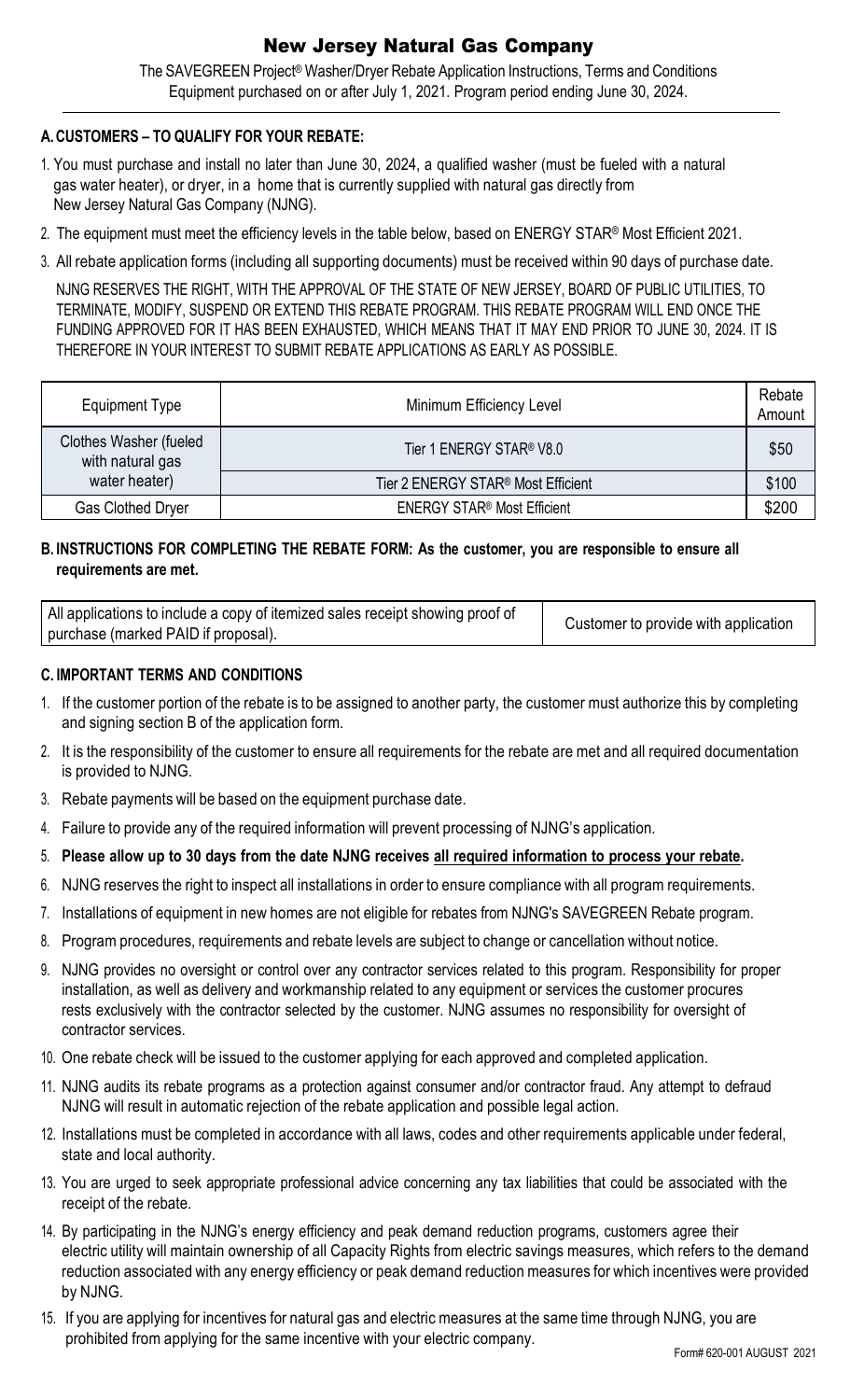## New Jersey Natural Gas Company

The SAVEGREEN Project® Washer/Dryer Rebate Application Instructions, Terms and Conditions Equipment purchased on or after July 1, 2021. Program period ending June 30, 2024.

## **A.CUSTOMERS – TO QUALIFY FOR YOUR REBATE:**

- 1. You must purchase and install no later than June 30, 2024, a qualified washer (must be fueled with a natural gas water heater), or dryer, in a home that is currently supplied with natural gas directly from New Jersey Natural Gas Company (NJNG).
- 2. The equipment must meet the efficiency levels in the table below, based on ENERGY STAR® Most Efficient 2021.
- 3. All rebate application forms (including all supporting documents) must be received within 90 days of purchase date.

NJNG RESERVES THE RIGHT, WITH THE APPROVAL OF THE STATE OF NEW JERSEY, BOARD OF PUBLIC UTILITIES, TO TERMINATE, MODIFY, SUSPEND OR EXTEND THIS REBATE PROGRAM. THIS REBATE PROGRAM WILL END ONCE THE FUNDING APPROVED FOR IT HAS BEEN EXHAUSTED, WHICH MEANS THAT IT MAY END PRIOR TO JUNE 30, 2024. IT IS THEREFORE IN YOUR INTEREST TO SUBMIT REBATE APPLICATIONS AS EARLY AS POSSIBLE.

| Equipment Type                                     | Minimum Efficiency Level                       | Rebate<br>Amount |
|----------------------------------------------------|------------------------------------------------|------------------|
| <b>Clothes Washer (fueled)</b><br>with natural gas | Tier 1 ENERGY STAR® V8.0                       | \$50             |
| water heater)                                      | Tier 2 ENERGY STAR <sup>®</sup> Most Efficient | \$100            |
| <b>Gas Clothed Dryer</b>                           | <b>ENERGY STAR<sup>®</sup> Most Efficient</b>  | \$200            |

## **B. INSTRUCTIONS FOR COMPLETING THE REBATE FORM: As the customer, you are responsible to ensure all requirements are met.**

| All applications to include a copy of itemized sales receipt showing proof of | Customer to provide with application |
|-------------------------------------------------------------------------------|--------------------------------------|
| purchase (marked PAID if proposal).                                           |                                      |

#### **C. IMPORTANT TERMS AND CONDITIONS**

- 1. If the customer portion of the rebate is to be assigned to another party, the customer must authorize this by completing and signing section B of the application form.
- 2. It is the responsibility of the customer to ensure all requirements for the rebate are met and all required documentation is provided to NJNG.
- 3. Rebate payments will be based on the equipment purchase date.
- 4. Failure to provide any of the required information will prevent processing of NJNG's application.
- 5. Please allow up to 30 days from the date NJNG receives all required information to process your rebate.
- 6. NJNG reserves the right to inspect all installations in order to ensure compliance with all program requirements.
- 7. Installations of equipment in new homes are not eligible for rebates from NJNG's SAVEGREEN Rebate program.
- 8. Program procedures, requirements and rebate levels are subject to change or cancellation without notice.
- 9. NJNG provides no oversight or control over any contractor services related to this program. Responsibility for proper installation, as well as delivery and workmanship related to any equipment or services the customer procures rests exclusively with the contractor selected by the customer. NJNG assumes no responsibility for oversight of contractor services.
- 10. One rebate check will be issued to the customer applying for each approved and completed application.
- 11. NJNG audits its rebate programs as a protection against consumer and/or contractor fraud. Any attempt to defraud NJNG will result in automatic rejection of the rebate application and possible legal action.
- 12. Installations must be completed in accordance with all laws, codes and other requirements applicable under federal, state and local authority.
- 13. You are urged to seek appropriate professional advice concerning any tax liabilities that could be associated with the receipt of the rebate.
- 14. By participating in the NJNG's energy efficiency and peak demand reduction programs, customers agree their electric utility will maintain ownership of all Capacity Rights from electric savings measures, which refers to the demand reduction associated with any energy efficiency or peak demand reduction measures for which incentives were provided by NJNG.
- 15. If you are applying for incentives for natural gas and electric measures at the same time through NJNG, you are prohibited from applying for the same incentive with your electric company.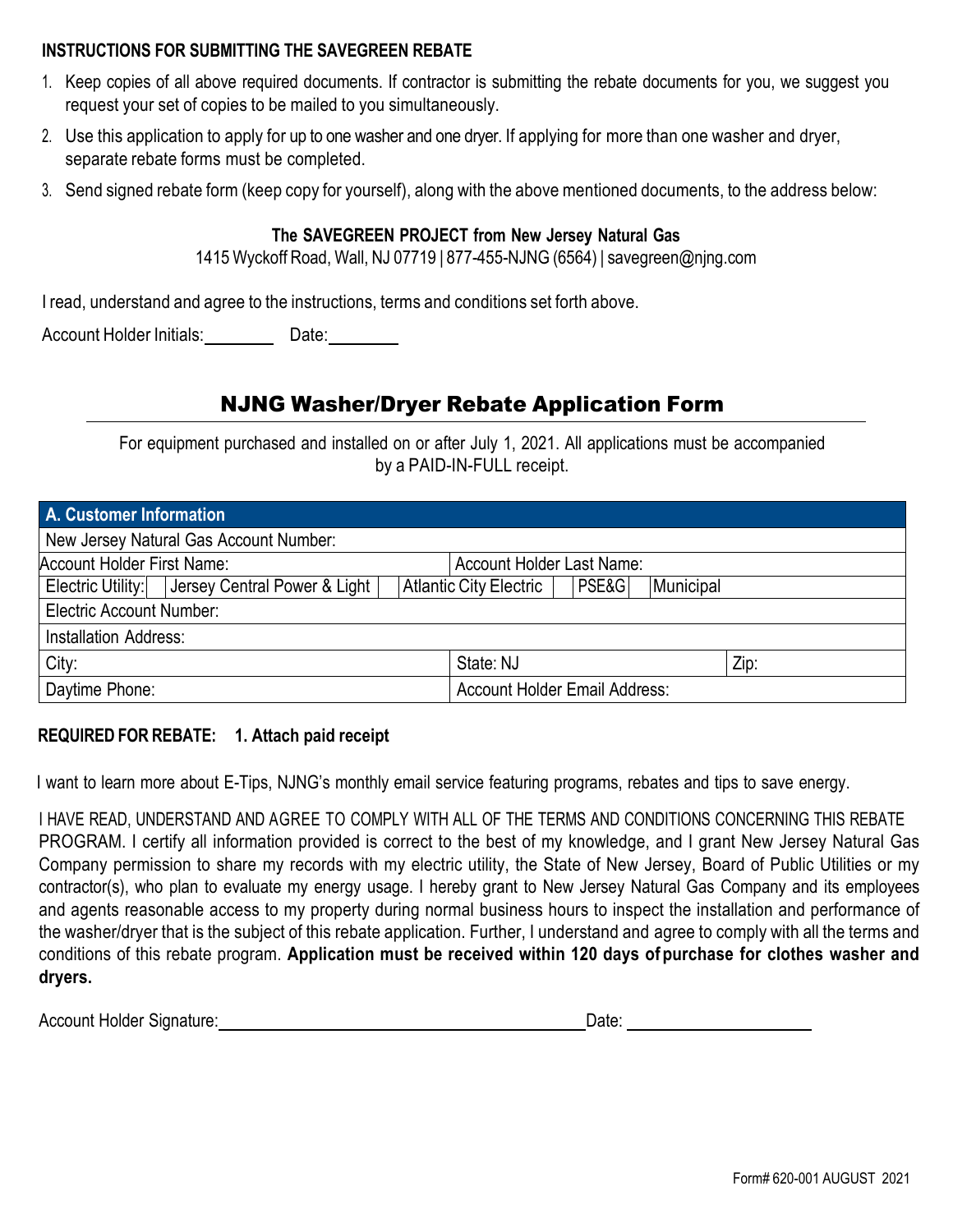#### **INSTRUCTIONS FOR SUBMITTING THE SAVEGREEN REBATE**

- 1. Keep copies of all above required documents. If contractor is submitting the rebate documents for you, we suggest you request your set of copies to be mailed to you simultaneously.
- 2. Use this application to apply for up to one washer and one dryer. If applying for more than one washer and dryer, separate rebate forms must be completed.
- 3. Send signed rebate form (keep copy for yourself), along with the above mentioned documents, to the address below:

### **The SAVEGREEN PROJECT from New Jersey Natural Gas**

1415 Wyckoff Road, Wall, NJ 07719 | 877-455-NJNG (6564) | [savegreen@njng.com](mailto:savegreen@njng.com)

I read, understand and agree to the instructions, terms and conditions set forth above.

Account Holder Initials: Date: Date:

# NJNG Washer/Dryer Rebate Application Form

For equipment purchased and installed on or after July 1, 2021. All applications must be accompanied by a PAID-IN-FULL receipt.

| A. Customer Information                |                                                  |                                      |                                  |  |       |           |  |  |
|----------------------------------------|--------------------------------------------------|--------------------------------------|----------------------------------|--|-------|-----------|--|--|
| New Jersey Natural Gas Account Number: |                                                  |                                      |                                  |  |       |           |  |  |
| Account Holder First Name:             |                                                  |                                      | <b>Account Holder Last Name:</b> |  |       |           |  |  |
|                                        | Electric Utility:   Jersey Central Power & Light |                                      | Atlantic City Electric           |  | PSE&G | Municipal |  |  |
| <b>Electric Account Number:</b>        |                                                  |                                      |                                  |  |       |           |  |  |
| <b>Installation Address:</b>           |                                                  |                                      |                                  |  |       |           |  |  |
| City:                                  |                                                  | State: NJ                            |                                  |  | Zip:  |           |  |  |
| Daytime Phone:                         |                                                  | <b>Account Holder Email Address:</b> |                                  |  |       |           |  |  |

## **REQUIRED FOR REBATE: 1. Attach paid receipt**

I want to learn more about E-Tips, NJNG's monthly email service featuring programs, rebates and tips to save energy.

I HAVE READ, UNDERSTAND AND AGREE TO COMPLY WITH ALL OF THE TERMS AND CONDITIONS CONCERNING THIS REBATE PROGRAM. I certify all information provided is correct to the best of my knowledge, and I grant New Jersey Natural Gas Company permission to share my records with my electric utility, the State of New Jersey, Board of Public Utilities or my contractor(s), who plan to evaluate my energy usage. I hereby grant to New Jersey Natural Gas Company and its employees and agents reasonable access to my property during normal business hours to inspect the installation and performance of the washer/dryer that is the subject of this rebate application. Further, I understand and agree to comply with all the terms and conditions of this rebate program. **Application must be received within 120 days of purchase for clothes washer and dryers.**

Account Holder Signature: Notified a state of the Date: Date: Date: